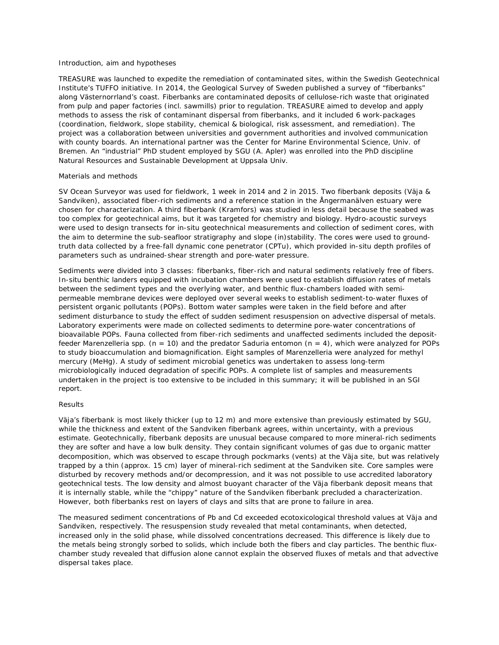### Introduction, aim and hypotheses

TREASURE was launched to expedite the remediation of contaminated sites, within the Swedish Geotechnical Institute's TUFFO initiative. In 2014, the Geological Survey of Sweden published a survey of "fiberbanks" along Västernorrland's coast. Fiberbanks are contaminated deposits of cellulose-rich waste that originated from pulp and paper factories (incl. sawmills) prior to regulation. TREASURE aimed to develop and apply methods to assess the risk of contaminant dispersal from fiberbanks, and it included 6 work-packages (coordination, fieldwork, slope stability, chemical & biological, risk assessment, and remediation). The project was a collaboration between universities and government authorities and involved communication with county boards. An international partner was the Center for Marine Environmental Science, Univ. of Bremen. An "industrial" PhD student employed by SGU (A. Apler) was enrolled into the PhD discipline Natural Resources and Sustainable Development at Uppsala Univ.

## Materials and methods

SV Ocean Surveyor was used for fieldwork, 1 week in 2014 and 2 in 2015. Two fiberbank deposits (Väja & Sandviken), associated fiber-rich sediments and a reference station in the Ångermanälven estuary were chosen for characterization. A third fiberbank (Kramfors) was studied in less detail because the seabed was too complex for geotechnical aims, but it was targeted for chemistry and biology. Hydro-acoustic surveys were used to design transects for in-situ geotechnical measurements and collection of sediment cores, with the aim to determine the sub-seafloor stratigraphy and slope (in)stability. The cores were used to groundtruth data collected by a free-fall dynamic cone penetrator (CPTu), which provided in-situ depth profiles of parameters such as undrained-shear strength and pore-water pressure.

Sediments were divided into 3 classes: fiberbanks, fiber-rich and natural sediments relatively free of fibers. In-situ benthic landers equipped with incubation chambers were used to establish diffusion rates of metals between the sediment types and the overlying water, and benthic flux-chambers loaded with semipermeable membrane devices were deployed over several weeks to establish sediment-to-water fluxes of persistent organic pollutants (POPs). Bottom water samples were taken in the field before and after sediment disturbance to study the effect of sudden sediment resuspension on advective dispersal of metals. Laboratory experiments were made on collected sediments to determine pore-water concentrations of bioavailable POPs. Fauna collected from fiber-rich sediments and unaffected sediments included the depositfeeder *Marenzelleria spp.* (n = 10) and the predator *Saduria entomon* (n = 4), which were analyzed for POPs to study bioaccumulation and biomagnification. Eight samples of *Marenzelleria* were analyzed for methyl mercury (MeHg). A study of sediment microbial genetics was undertaken to assess long-term microbiologically induced degradation of specific POPs. A complete list of samples and measurements undertaken in the project is too extensive to be included in this summary; it will be published in an SGI report.

## Results

Väja's fiberbank is most likely thicker (up to 12 m) and more extensive than previously estimated by SGU, while the thickness and extent of the Sandviken fiberbank agrees, within uncertainty, with a previous estimate. Geotechnically, fiberbank deposits are unusual because compared to more mineral-rich sediments they are softer and have a low bulk density. They contain significant volumes of gas due to organic matter decomposition, which was observed to escape through pockmarks (vents) at the Väja site, but was relatively trapped by a thin (approx. 15 cm) layer of mineral-rich sediment at the Sandviken site. Core samples were disturbed by recovery methods and/or decompression, and it was not possible to use accredited laboratory geotechnical tests. The low density and almost buoyant character of the Väja fiberbank deposit means that it is internally stable, while the "chippy" nature of the Sandviken fiberbank precluded a characterization. However, both fiberbanks rest on layers of clays and silts that are prone to failure in area.

The measured sediment concentrations of Pb and Cd exceeded ecotoxicological threshold values at Väja and Sandviken, respectively. The resuspension study revealed that metal contaminants, when detected, increased only in the solid phase, while dissolved concentrations decreased. This difference is likely due to the metals being strongly sorbed to solids, which include both the fibers and clay particles. The benthic fluxchamber study revealed that diffusion alone cannot explain the observed fluxes of metals and that advective dispersal takes place.